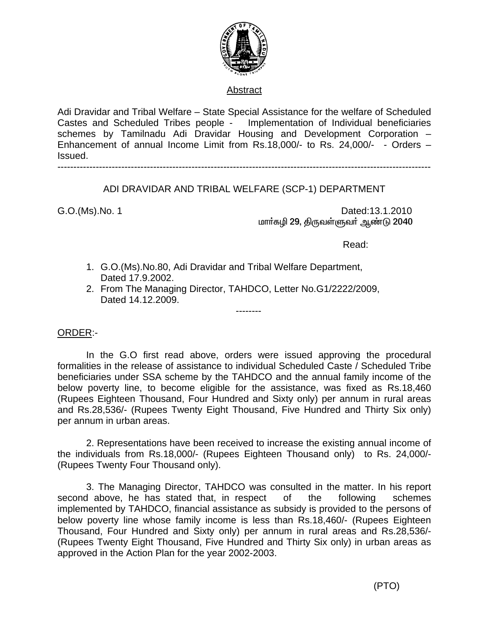

## Abstract

Adi Dravidar and Tribal Welfare – State Special Assistance for the welfare of Scheduled Castes and Scheduled Tribes people - Implementation of Individual beneficiaries schemes by Tamilnadu Adi Dravidar Housing and Development Corporation – Enhancement of annual Income Limit from Rs.18,000/- to Rs. 24,000/- - Orders – Issued.

---------------------------------------------------------------------------------------------------------------------

## ADI DRAVIDAR AND TRIBAL WELFARE (SCP-1) DEPARTMENT

G.O.(Ms).No. 1 Dated:13.1.2010 மாா்கழி 29, திருவள்ளுவா் ஆண்டு 2040

Read:

- 1. G.O.(Ms).No.80, Adi Dravidar and Tribal Welfare Department, Dated 17.9.2002.
- 2. From The Managing Director, TAHDCO, Letter No.G1/2222/2009, Dated 14.12.2009.

--------

## ORDER:-

In the G.O first read above, orders were issued approving the procedural formalities in the release of assistance to individual Scheduled Caste / Scheduled Tribe beneficiaries under SSA scheme by the TAHDCO and the annual family income of the below poverty line, to become eligible for the assistance, was fixed as Rs.18,460 (Rupees Eighteen Thousand, Four Hundred and Sixty only) per annum in rural areas and Rs.28,536/- (Rupees Twenty Eight Thousand, Five Hundred and Thirty Six only) per annum in urban areas.

2. Representations have been received to increase the existing annual income of the individuals from Rs.18,000/- (Rupees Eighteen Thousand only) to Rs. 24,000/- (Rupees Twenty Four Thousand only).

3. The Managing Director, TAHDCO was consulted in the matter. In his report second above, he has stated that, in respect of the following schemes implemented by TAHDCO, financial assistance as subsidy is provided to the persons of below poverty line whose family income is less than Rs.18,460/- (Rupees Eighteen Thousand, Four Hundred and Sixty only) per annum in rural areas and Rs.28,536/- (Rupees Twenty Eight Thousand, Five Hundred and Thirty Six only) in urban areas as approved in the Action Plan for the year 2002-2003.